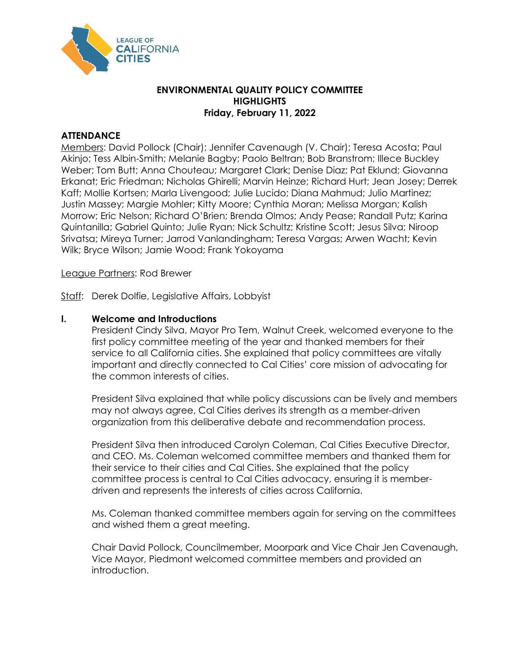

# **ENVIRONMENTAL QUALITY POLICY COMMITTEE HIGHLIGHTS Friday, February 11, 2022**

# **ATTENDANCE**

Members: David Pollock (Chair); Jennifer Cavenaugh (V. Chair); Teresa Acosta; Paul Akinjo; Tess Albin-Smith; Melanie Bagby; Paolo Beltran; Bob Branstrom; Illece Buckley Weber; Tom Butt; Anna Chouteau; Margaret Clark; Denise Diaz; Pat Eklund; Giovanna Erkanat; Eric Friedman; Nicholas Ghirelli; Marvin Heinze; Richard Hurt; Jean Josey; Derrek Kaff; Mollie Kortsen; Marla Livengood; Julie Lucido; Diana Mahmud; Julio Martinez; Justin Massey; Margie Mohler; Kitty Moore; Cynthia Moran; Melissa Morgan; Kalish Morrow; Eric Nelson; Richard O'Brien; Brenda Olmos; Andy Pease; Randall Putz; Karina Quintanilla; Gabriel Quinto; Julie Ryan; Nick Schultz; Kristine Scott; Jesus Silva; Niroop Srivatsa; Mireya Turner; Jarrod Vanlandingham; Teresa Vargas; Arwen Wacht; Kevin Wilk; Bryce Wilson; Jamie Wood; Frank Yokoyama

### League Partners: Rod Brewer

Staff: Derek Dolfie, Legislative Affairs, Lobbyist

### **I. Welcome and Introductions**

President Cindy Silva, Mayor Pro Tem, Walnut Creek, welcomed everyone to the first policy committee meeting of the year and thanked members for their service to all California cities. She explained that policy committees are vitally important and directly connected to Cal Cities' core mission of advocating for the common interests of cities.

President Silva explained that while policy discussions can be lively and members may not always agree, Cal Cities derives its strength as a member-driven organization from this deliberative debate and recommendation process.

President Silva then introduced Carolyn Coleman, Cal Cities Executive Director, and CEO. Ms. Coleman welcomed committee members and thanked them for their service to their cities and Cal Cities. She explained that the policy committee process is central to Cal Cities advocacy, ensuring it is memberdriven and represents the interests of cities across California.

Ms. Coleman thanked committee members again for serving on the committees and wished them a great meeting.

Chair David Pollock, Councilmember, Moorpark and Vice Chair Jen Cavenaugh, Vice Mayor, Piedmont welcomed committee members and provided an introduction.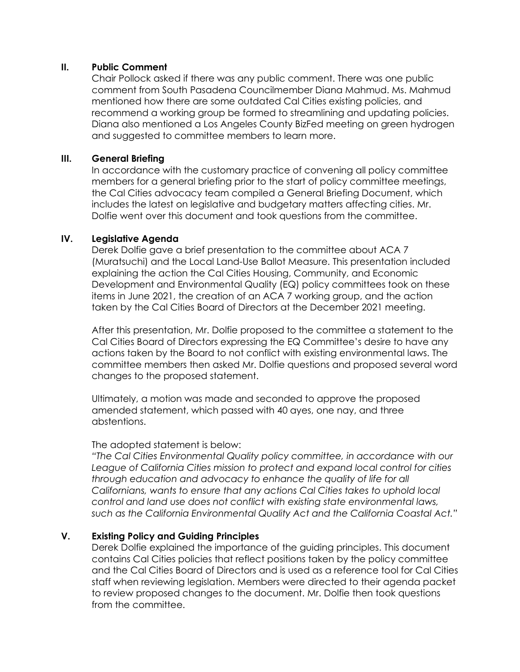### **II. Public Comment**

Chair Pollock asked if there was any public comment. There was one public comment from South Pasadena Councilmember Diana Mahmud. Ms. Mahmud mentioned how there are some outdated Cal Cities existing policies, and recommend a working group be formed to streamlining and updating policies. Diana also mentioned a Los Angeles County BizFed meeting on green hydrogen and suggested to committee members to learn more.

## **III. General Briefing**

In accordance with the customary practice of convening all policy committee members for a general briefing prior to the start of policy committee meetings, the Cal Cities advocacy team compiled a General Briefing Document, which includes the latest on legislative and budgetary matters affecting cities. Mr. Dolfie went over this document and took questions from the committee.

## **IV. Legislative Agenda**

Derek Dolfie gave a brief presentation to the committee about ACA 7 (Muratsuchi) and the Local Land-Use Ballot Measure. This presentation included explaining the action the Cal Cities Housing, Community, and Economic Development and Environmental Quality (EQ) policy committees took on these items in June 2021, the creation of an ACA 7 working group, and the action taken by the Cal Cities Board of Directors at the December 2021 meeting.

After this presentation, Mr. Dolfie proposed to the committee a statement to the Cal Cities Board of Directors expressing the EQ Committee's desire to have any actions taken by the Board to not conflict with existing environmental laws. The committee members then asked Mr. Dolfie questions and proposed several word changes to the proposed statement.

Ultimately, a motion was made and seconded to approve the proposed amended statement, which passed with 40 ayes, one nay, and three abstentions.

#### The adopted statement is below:

*"The Cal Cities Environmental Quality policy committee, in accordance with our League of California Cities mission to protect and expand local control for cities through education and advocacy to enhance the quality of life for all Californians, wants to ensure that any actions Cal Cities takes to uphold local control and land use does not conflict with existing state environmental laws, such as the California Environmental Quality Act and the California Coastal Act."*

### **V. Existing Policy and Guiding Principles**

Derek Dolfie explained the importance of the guiding principles. This document contains Cal Cities policies that reflect positions taken by the policy committee and the Cal Cities Board of Directors and is used as a reference tool for Cal Cities staff when reviewing legislation. Members were directed to their agenda packet to review proposed changes to the document. Mr. Dolfie then took questions from the committee.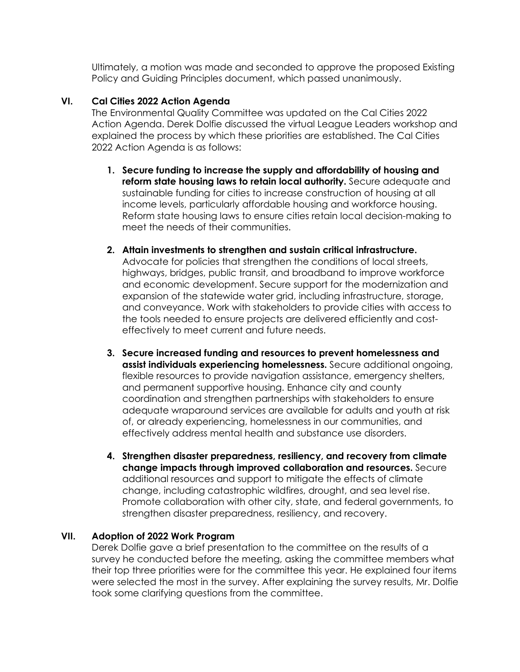Ultimately, a motion was made and seconded to approve the proposed Existing Policy and Guiding Principles document, which passed unanimously.

## **VI. Cal Cities 2022 Action Agenda**

The Environmental Quality Committee was updated on the Cal Cities 2022 Action Agenda. Derek Dolfie discussed the virtual League Leaders workshop and explained the process by which these priorities are established. The Cal Cities 2022 Action Agenda is as follows:

- **1. Secure funding to increase the supply and affordability of housing and reform state housing laws to retain local authority.** Secure adequate and sustainable funding for cities to increase construction of housing at all income levels, particularly affordable housing and workforce housing. Reform state housing laws to ensure cities retain local decision-making to meet the needs of their communities.
- **2. Attain investments to strengthen and sustain critical infrastructure.**  Advocate for policies that strengthen the conditions of local streets, highways, bridges, public transit, and broadband to improve workforce and economic development. Secure support for the modernization and expansion of the statewide water grid, including infrastructure, storage, and conveyance. Work with stakeholders to provide cities with access to the tools needed to ensure projects are delivered efficiently and costeffectively to meet current and future needs.
- **3. Secure increased funding and resources to prevent homelessness and assist individuals experiencing homelessness.** Secure additional ongoing, flexible resources to provide navigation assistance, emergency shelters, and permanent supportive housing. Enhance city and county coordination and strengthen partnerships with stakeholders to ensure adequate wraparound services are available for adults and youth at risk of, or already experiencing, homelessness in our communities, and effectively address mental health and substance use disorders.
- **4. Strengthen disaster preparedness, resiliency, and recovery from climate change impacts through improved collaboration and resources.** Secure additional resources and support to mitigate the effects of climate change, including catastrophic wildfires, drought, and sea level rise. Promote collaboration with other city, state, and federal governments, to strengthen disaster preparedness, resiliency, and recovery.

### **VII. Adoption of 2022 Work Program**

Derek Dolfie gave a brief presentation to the committee on the results of a survey he conducted before the meeting, asking the committee members what their top three priorities were for the committee this year. He explained four items were selected the most in the survey. After explaining the survey results, Mr. Dolfie took some clarifying questions from the committee.